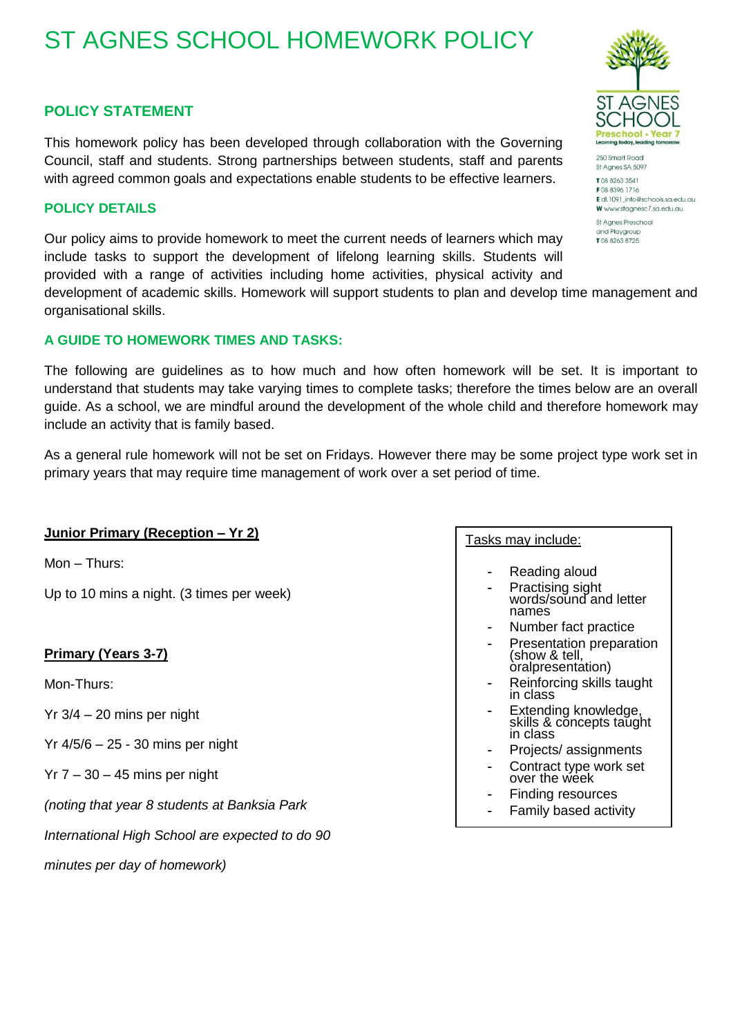# ST AGNES SCHOOL HOMEWORK POLICY

## **POLICY STATEMENT**

This homework policy has been developed through collaboration with the Governing Council, staff and students. Strong partnerships between students, staff and parents with agreed common goals and expectations enable students to be effective learners.

## **POLICY DETAILS**

Our policy aims to provide homework to meet the current needs of learners which may T08 8263 8725 include tasks to support the development of lifelong learning skills. Students will provided with a range of activities including home activities, physical activity and development of academic skills. Homework will support students to plan and develop time management and organisational skills.

## **A GUIDE TO HOMEWORK TIMES AND TASKS:**

The following are guidelines as to how much and how often homework will be set. It is important to understand that students may take varying times to complete tasks; therefore the times below are an overall guide. As a school, we are mindful around the development of the whole child and therefore homework may include an activity that is family based.

As a general rule homework will not be set on Fridays. However there may be some project type work set in primary years that may require time management of work over a set period of time.

## **Junior Primary (Reception – Yr 2)**

Mon – Thurs:

Up to 10 mins a night. (3 times per week)

### **Primary (Years 3-7)**

Mon-Thurs:

Yr 3/4 – 20 mins per night

Yr 4/5/6 – 25 - 30 mins per night

 $Yr$  7 – 30 – 45 mins per night

*(noting that year 8 students at Banksia Park* 

*International High School are expected to do 90*

*minutes per day of homework)*

Tasks may include:

- Reading aloud
- Practising sight words/sound and letter names
- Number fact practice
- Presentation preparation (show & tell, oralpresentation)
- Reinforcing skills taught in class
- Extending knowledge. skills & concepts taught in class
- Projects/ assignments
- Contract type work set over the week
- Finding resources
- Family based activity



250 Smart Road St Agnes SA 5097 T 08 8263 3541 F08 8396 1716 Edl.1091 info@schools.sa.edu.au W www.stagnesc7.sa.edu.au St Agnes Preschool and Playgroup